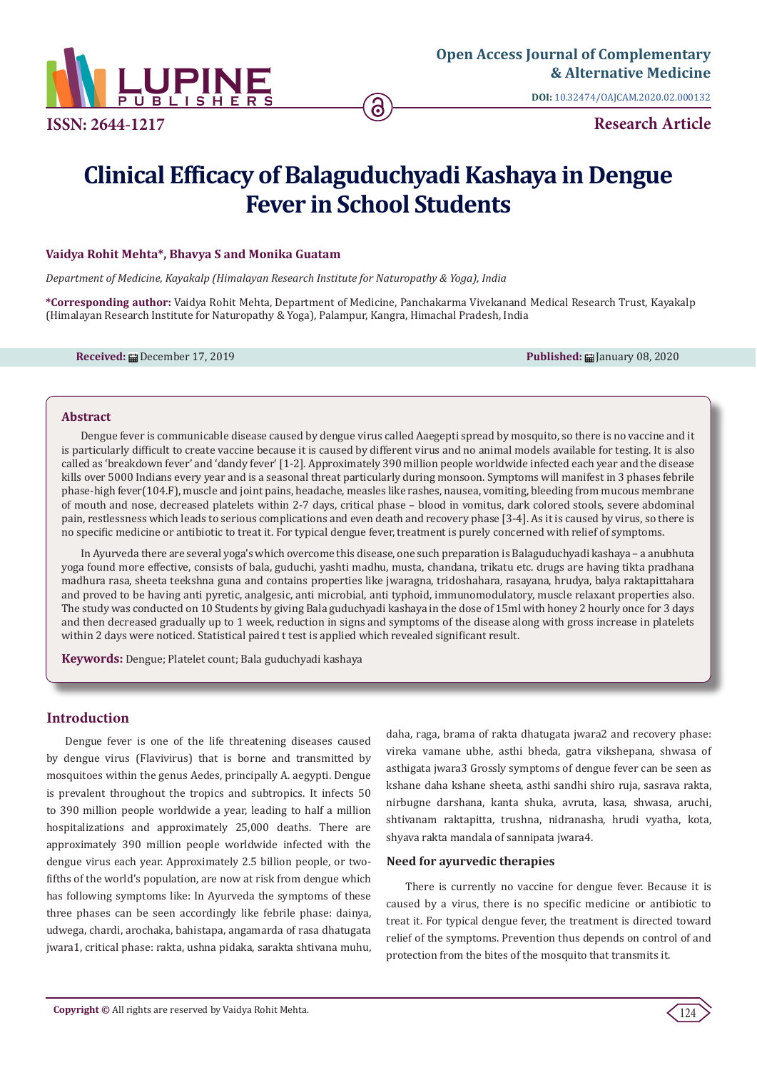

**DOI:** [10.32474/OAJCAM.2020.02.000132](http://dx.doi.org/10.32474/OAJCAM.2020.02.000132)

**Research Article**

# **Clinical Efficacy of Balaguduchyadi Kashaya in Dengue Fever in School Students**

ခ

## **Vaidya Rohit Mehta\*, Bhavya S and Monika Guatam**

*Department of Medicine, Kayakalp (Himalayan Research Institute for Naturopathy & Yoga), India*

**\*Corresponding author:** Vaidya Rohit Mehta, Department of Medicine, Panchakarma Vivekanand Medical Research Trust, Kayakalp (Himalayan Research Institute for Naturopathy & Yoga), Palampur, Kangra, Himachal Pradesh, India

**Received: 曲 December 17, 2019 Published: 曲 Ianuary 08, 2020** 

#### **Abstract**

Dengue fever is communicable disease caused by dengue virus called Aaegepti spread by mosquito, so there is no vaccine and it is particularly difficult to create vaccine because it is caused by different virus and no animal models available for testing. It is also called as 'breakdown fever' and 'dandy fever' [1-2]. Approximately 390 million people worldwide infected each year and the disease kills over 5000 Indians every year and is a seasonal threat particularly during monsoon. Symptoms will manifest in 3 phases febrile phase-high fever(104.F), muscle and joint pains, headache, measles like rashes, nausea, vomiting, bleeding from mucous membrane of mouth and nose, decreased platelets within 2-7 days, critical phase – blood in vomitus, dark colored stools, severe abdominal pain, restlessness which leads to serious complications and even death and recovery phase [3-4]. As it is caused by virus, so there is no specific medicine or antibiotic to treat it. For typical dengue fever, treatment is purely concerned with relief of symptoms.

In Ayurveda there are several yoga's which overcome this disease, one such preparation is Balaguduchyadi kashaya – a anubhuta yoga found more effective, consists of bala, guduchi, yashti madhu, musta, chandana, trikatu etc. drugs are having tikta pradhana madhura rasa, sheeta teekshna guna and contains properties like jwaragna, tridoshahara, rasayana, hrudya, balya raktapittahara and proved to be having anti pyretic, analgesic, anti microbial, anti typhoid, immunomodulatory, muscle relaxant properties also. The study was conducted on 10 Students by giving Bala guduchyadi kashaya in the dose of 15ml with honey 2 hourly once for 3 days and then decreased gradually up to 1 week, reduction in signs and symptoms of the disease along with gross increase in platelets within 2 days were noticed. Statistical paired t test is applied which revealed significant result.

**Keywords:** Dengue; Platelet count; Bala guduchyadi kashaya

# **Introduction**

Dengue fever is one of the life threatening diseases caused by dengue virus (Flavivirus) that is borne and transmitted by mosquitoes within the genus Aedes, principally A. aegypti. Dengue is prevalent throughout the tropics and subtropics. It infects 50 to 390 million people worldwide a year, leading to half a million hospitalizations and approximately 25,000 deaths. There are approximately 390 million people worldwide infected with the dengue virus each year. Approximately 2.5 billion people, or twofifths of the world's population, are now at risk from dengue which has following symptoms like: In Ayurveda the symptoms of these three phases can be seen accordingly like febrile phase: dainya, udwega, chardi, arochaka, bahistapa, angamarda of rasa dhatugata jwara1, critical phase: rakta, ushna pidaka, sarakta shtivana muhu,

daha, raga, brama of rakta dhatugata jwara2 and recovery phase: vireka vamane ubhe, asthi bheda, gatra vikshepana, shwasa of asthigata jwara3 Grossly symptoms of dengue fever can be seen as kshane daha kshane sheeta, asthi sandhi shiro ruja, sasrava rakta, nirbugne darshana, kanta shuka, avruta, kasa, shwasa, aruchi, shtivanam raktapitta, trushna, nidranasha, hrudi vyatha, kota, shyava rakta mandala of sannipata jwara4.

#### **Need for ayurvedic therapies**

There is currently no vaccine for dengue fever. Because it is caused by a virus, there is no specific medicine or antibiotic to treat it. For typical dengue fever, the treatment is directed toward relief of the symptoms. Prevention thus depends on control of and protection from the bites of the mosquito that transmits it.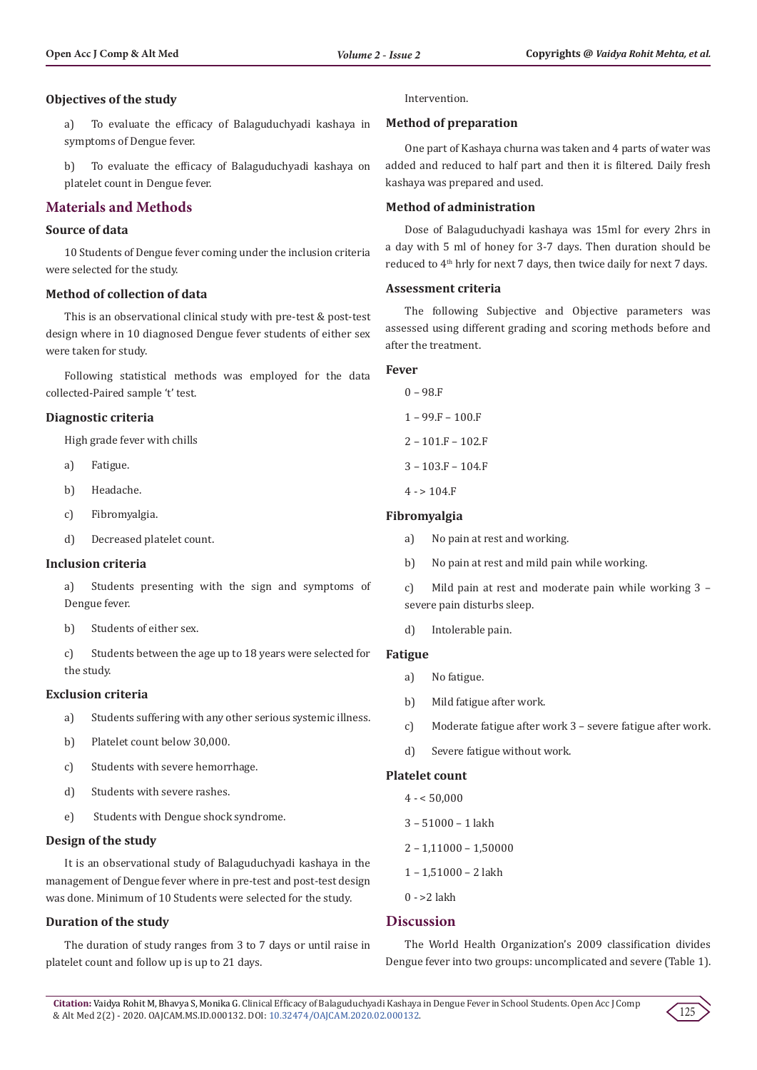## **Objectives of the study**

a) To evaluate the efficacy of Balaguduchyadi kashaya in symptoms of Dengue fever.

b) To evaluate the efficacy of Balaguduchyadi kashaya on platelet count in Dengue fever.

# **Materials and Methods**

## **Source of data**

10 Students of Dengue fever coming under the inclusion criteria were selected for the study.

## **Method of collection of data**

This is an observational clinical study with pre-test & post-test design where in 10 diagnosed Dengue fever students of either sex were taken for study.

Following statistical methods was employed for the data collected-Paired sample 't' test.

## **Diagnostic criteria**

High grade fever with chills

- a) Fatigue.
- b) Headache.
- c) Fibromyalgia.
- d) Decreased platelet count.

## **Inclusion criteria**

- a) Students presenting with the sign and symptoms of Dengue fever.
- b) Students of either sex.
- c) Students between the age up to 18 years were selected for the study.

#### **Exclusion criteria**

- a) Students suffering with any other serious systemic illness.
- b) Platelet count below 30,000.
- c) Students with severe hemorrhage.
- d) Students with severe rashes.
- e) Students with Dengue shock syndrome.

#### **Design of the study**

It is an observational study of Balaguduchyadi kashaya in the management of Dengue fever where in pre-test and post-test design was done. Minimum of 10 Students were selected for the study.

## **Duration of the study**

The duration of study ranges from 3 to 7 days or until raise in platelet count and follow up is up to 21 days.

Intervention.

#### **Method of preparation**

One part of Kashaya churna was taken and 4 parts of water was added and reduced to half part and then it is filtered. Daily fresh kashaya was prepared and used.

## **Method of administration**

Dose of Balaguduchyadi kashaya was 15ml for every 2hrs in a day with 5 ml of honey for 3-7 days. Then duration should be reduced to 4<sup>th</sup> hrly for next 7 days, then twice daily for next 7 days.

## **Assessment criteria**

The following Subjective and Objective parameters was assessed using different grading and scoring methods before and after the treatment.

#### **Fever**

0 – 98.F  $1 - 99.F - 100.F$  $2 - 101.F - 102.F$ 3 – 103.F – 104.F  $4 - > 104.F$ 

## **Fibromyalgia**

- a) No pain at rest and working.
- b) No pain at rest and mild pain while working.

c) Mild pain at rest and moderate pain while working 3 – severe pain disturbs sleep.

d) Intolerable pain.

#### **Fatigue**

- a) No fatigue.
- b) Mild fatigue after work.
- c) Moderate fatigue after work 3 severe fatigue after work.
- d) Severe fatigue without work.

#### **Platelet count**

- $4 50,000$
- 3 51000 1 lakh
- $2 1,11000 1,50000$
- 1 1,51000 2 lakh
- 0 >2 lakh

# **Discussion**

The World Health Organization's 2009 classification divides Dengue fever into two groups: uncomplicated and severe (Table 1).

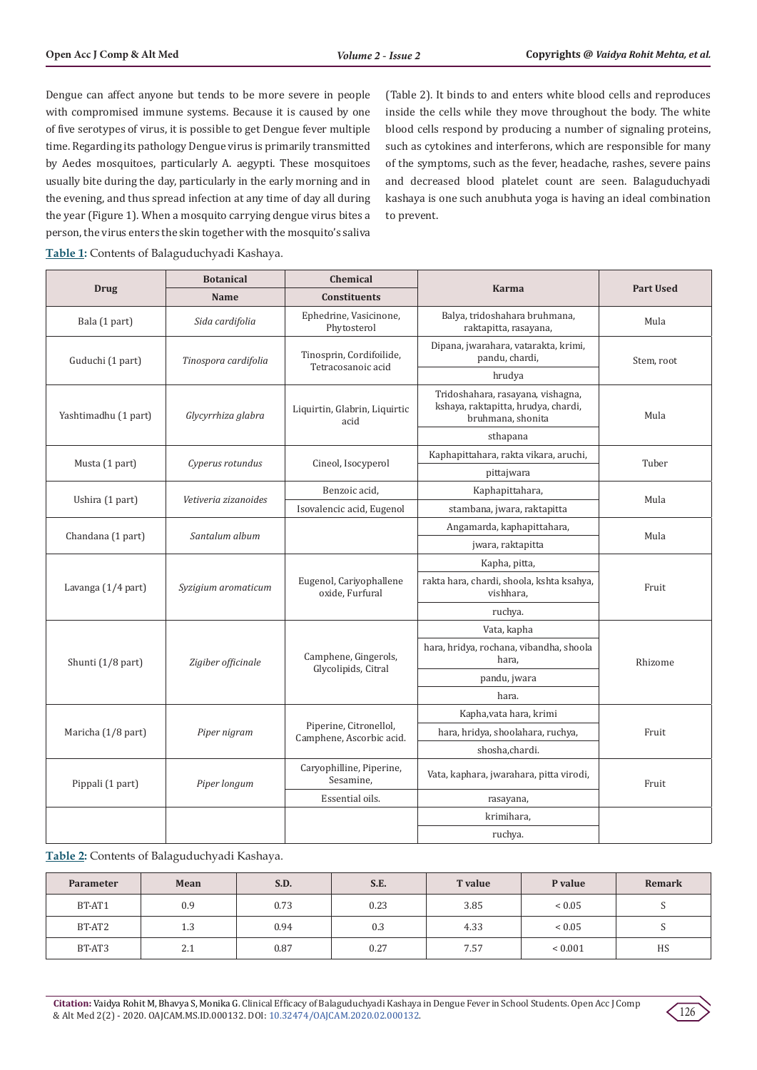Dengue can affect anyone but tends to be more severe in people with compromised immune systems. Because it is caused by one of five serotypes of virus, it is possible to get Dengue fever multiple time. Regarding its pathology Dengue virus is primarily transmitted by Aedes mosquitoes, particularly A. aegypti. These mosquitoes usually bite during the day, particularly in the early morning and in the evening, and thus spread infection at any time of day all during the year (Figure 1). When a mosquito carrying dengue virus bites a person, the virus enters the skin together with the mosquito's saliva

(Table 2). It binds to and enters white blood cells and reproduces inside the cells while they move throughout the body. The white blood cells respond by producing a number of signaling proteins, such as cytokines and interferons, which are responsible for many of the symptoms, such as the fever, headache, rashes, severe pains and decreased blood platelet count are seen. Balaguduchyadi kashaya is one such anubhuta yoga is having an ideal combination to prevent.

**Table 1:** Contents of Balaguduchyadi Kashaya.

|                      | <b>Chemical</b><br><b>Botanical</b> |                                                    |                                                                                               | <b>Part Used</b> |  |
|----------------------|-------------------------------------|----------------------------------------------------|-----------------------------------------------------------------------------------------------|------------------|--|
| <b>Drug</b>          | Name                                | <b>Constituents</b>                                | <b>Karma</b>                                                                                  |                  |  |
| Bala (1 part)        | Sida cardifolia                     | Ephedrine, Vasicinone,<br>Phytosterol              | Balya, tridoshahara bruhmana,<br>raktapitta, rasayana,                                        | Mula             |  |
| Guduchi (1 part)     | Tinospora cardifolia                | Tinosprin, Cordifoilide,<br>Tetracosanoic acid     | Dipana, jwarahara, vatarakta, krimi,<br>pandu, chardi,                                        | Stem, root       |  |
|                      |                                     |                                                    | hrudya                                                                                        |                  |  |
| Yashtimadhu (1 part) | Glycyrrhiza glabra                  | Liquirtin, Glabrin, Liquirtic<br>acid              | Tridoshahara, rasayana, vishagna,<br>kshaya, raktapitta, hrudya, chardi,<br>bruhmana, shonita | Mula             |  |
|                      |                                     |                                                    | sthapana                                                                                      |                  |  |
|                      |                                     | Cineol, Isocyperol                                 | Kaphapittahara, rakta vikara, aruchi,                                                         |                  |  |
| Musta (1 part)       | Cyperus rotundus                    |                                                    | pittajwara                                                                                    | Tuber            |  |
| Ushira (1 part)      | Vetiveria zizanoides                | Benzoic acid,                                      | Kaphapittahara,                                                                               | Mula             |  |
|                      |                                     | Isovalencic acid, Eugenol                          | stambana, jwara, raktapitta                                                                   |                  |  |
| Chandana (1 part)    | Santalum album                      |                                                    | Angamarda, kaphapittahara,                                                                    | Mula             |  |
|                      |                                     |                                                    | jwara, raktapitta                                                                             |                  |  |
|                      | Syzigium aromaticum                 | Eugenol, Cariyophallene<br>oxide, Furfural         | Kapha, pitta,                                                                                 | Fruit            |  |
| Lavanga (1/4 part)   |                                     |                                                    | rakta hara, chardi, shoola, kshta ksahya,<br>vishhara.                                        |                  |  |
|                      |                                     |                                                    | ruchya.                                                                                       |                  |  |
|                      | Zigiber officinale                  |                                                    | Vata, kapha                                                                                   |                  |  |
| Shunti (1/8 part)    |                                     | Camphene, Gingerols,                               | hara, hridya, rochana, vibandha, shoola<br>hara.                                              | Rhizome          |  |
|                      |                                     | Glycolipids, Citral                                | pandu, jwara                                                                                  |                  |  |
|                      |                                     |                                                    | hara.                                                                                         |                  |  |
|                      | Piper nigram                        | Piperine, Citronellol,<br>Camphene, Ascorbic acid. | Kapha, vata hara, krimi                                                                       | Fruit            |  |
| Maricha (1/8 part)   |                                     |                                                    | hara, hridya, shoolahara, ruchya,                                                             |                  |  |
|                      |                                     |                                                    | shosha,chardi.                                                                                |                  |  |
| Pippali (1 part)     | Piper longum                        | Caryophilline, Piperine,<br>Sesamine,              | Vata, kaphara, jwarahara, pitta virodi,                                                       | Fruit            |  |
|                      |                                     | Essential oils.                                    | rasayana,                                                                                     |                  |  |
|                      |                                     |                                                    | krimihara,                                                                                    |                  |  |
|                      |                                     |                                                    | ruchya.                                                                                       |                  |  |

**Table 2:** Contents of Balaguduchyadi Kashaya.

| <b>Parameter</b> | Mean | S.D. | S.E. | <b>T</b> value | P value      | Remark |
|------------------|------|------|------|----------------|--------------|--------|
| BT-AT1           | 0.9  | 0.73 | 0.23 | 3.85           | ${}< 0.05$   |        |
| BT-AT2           | 1.3  | 0.94 | 0.3  | 4.33           | ${}< 0.05$   |        |
| BT-AT3           | 2.1  | 0.87 | 0.27 | 7.57           | ${}_{0.001}$ | HS     |

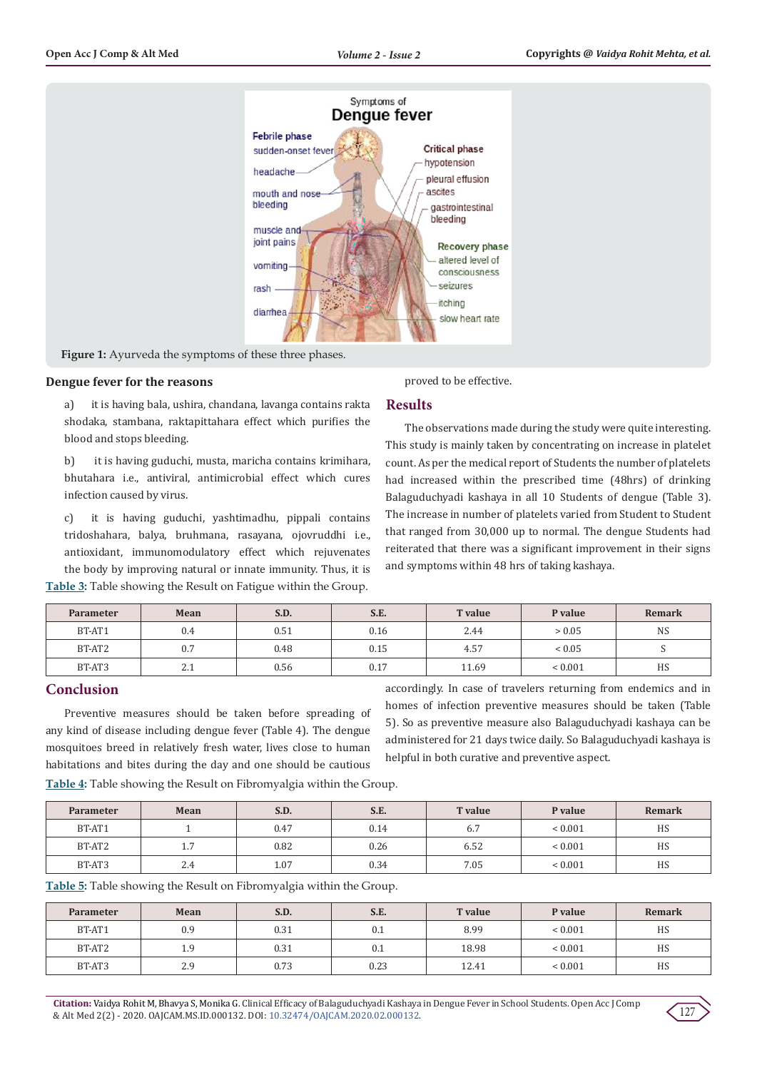

Figure 1: Ayurveda the symptoms of these three phases.

### **Dengue fever for the reasons**

blood and stops bleeding.

a) it is having bala, ushira, chandana, lavanga contains rakta shodaka, stambana, raktapittahara effect which purifies the

b) it is having guduchi, musta, maricha contains krimihara, bhutahara i.e., antiviral, antimicrobial effect which cures infection caused by virus.

c) it is having guduchi, yashtimadhu, pippali contains tridoshahara, balya, bruhmana, rasayana, ojovruddhi i.e., antioxidant, immunomodulatory effect which rejuvenates the body by improving natural or innate immunity. Thus, it is **Table 3:** Table showing the Result on Fatigue within the Group.

proved to be effective.

#### **Results**

The observations made during the study were quite interesting. This study is mainly taken by concentrating on increase in platelet count. As per the medical report of Students the number of platelets had increased within the prescribed time (48hrs) of drinking Balaguduchyadi kashaya in all 10 Students of dengue (Table 3). The increase in number of platelets varied from Student to Student that ranged from 30,000 up to normal. The dengue Students had reiterated that there was a significant improvement in their signs and symptoms within 48 hrs of taking kashaya.

| <b>Parameter</b> | Mean | S.D. | S.E. | <b>T</b> value | P value      | <b>Remark</b> |
|------------------|------|------|------|----------------|--------------|---------------|
| BT-AT1           | 0.4  | 0.51 | 0.16 | 2.44           | > 0.05       | <b>NS</b>     |
| BT-AT2           | 0.7  | 0.48 | 0.15 | 4.57           | ${}< 0.05$   |               |
| BT-AT3           | 2.1  | 0.56 | 0.17 | 11.69          | ${}_{0.001}$ | HS            |

## **Conclusion**

Preventive measures should be taken before spreading of any kind of disease including dengue fever (Table 4). The dengue mosquitoes breed in relatively fresh water, lives close to human habitations and bites during the day and one should be cautious

accordingly. In case of travelers returning from endemics and in homes of infection preventive measures should be taken (Table 5). So as preventive measure also Balaguduchyadi kashaya can be administered for 21 days twice daily. So Balaguduchyadi kashaya is helpful in both curative and preventive aspect.

**Table 4:** Table showing the Result on Fibromyalgia within the Group.

| <b>Parameter</b> | Mean            | S.D. | S.E. | <b>T</b> value | P value      | Remark |
|------------------|-----------------|------|------|----------------|--------------|--------|
| BT-AT1           |                 | 0.47 | 0.14 | 6.7            | ${}_{0.001}$ | HS     |
| BT-AT2           | 7<br><b>1.1</b> | 0.82 | 0.26 | 6.52           | ${}_{0.001}$ | HS     |
| BT-AT3           | 2.4             | 1.07 | 0.34 | 7.05           | ${}_{0.001}$ | HS     |

**Table 5:** Table showing the Result on Fibromyalgia within the Group.

| <b>Parameter</b> | Mean | S.D. | S.E. | <b>T</b> value | P value      | Remark |
|------------------|------|------|------|----------------|--------------|--------|
| BT-AT1           | 0.9  | 0.31 | 0.1  | 8.99           | ${}_{0.001}$ | HS     |
| BT-AT2           | 1.9  | 0.31 | 0.1  | 18.98          | ${}_{0.001}$ | HS     |
| BT-AT3           | 2.9  | 0.73 | 0.23 | 12.41          | ${}_{0.001}$ | HS     |

**Citation:** Vaidya Rohit M, Bhavya S, Monika G. Clinical Efficacy of Balaguduchyadi Kashaya in Dengue Fever in School Students. Open Acc J Comp & Alt Med 2(2) - 2020. OAJCAM.MS.ID.000132. DOI: [10.32474/OAJCAM.2020.02.000132](http://dx.doi.org/10.32474/OAJCAM.2020.02.000132).